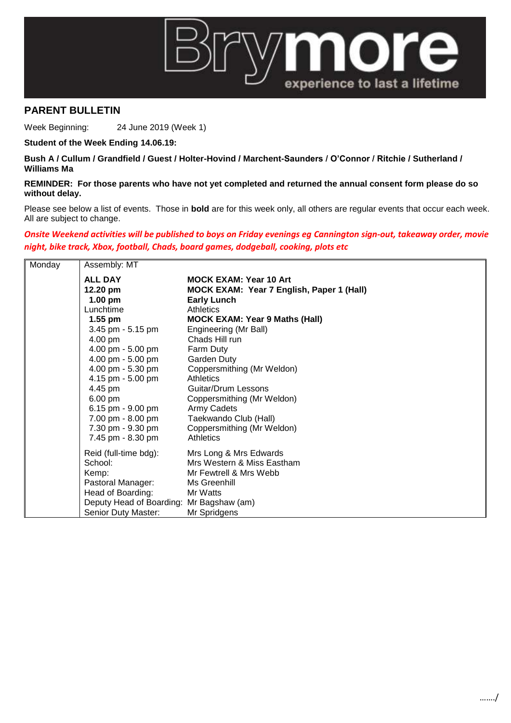

## **PARENT BULLETIN**

Week Beginning: 24 June 2019 (Week 1)

**Student of the Week Ending 14.06.19:**

**Bush A / Cullum / Grandfield / Guest / Holter-Hovind / Marchent-Saunders / O'Connor / Ritchie / Sutherland / Williams Ma**

**REMINDER: For those parents who have not yet completed and returned the annual consent form please do so without delay.** 

Please see below a list of events. Those in **bold** are for this week only, all others are regular events that occur each week. All are subject to change.

*Onsite Weekend activities will be published to boys on Friday evenings eg Cannington sign-out, takeaway order, movie night, bike track, Xbox, football, Chads, board games, dodgeball, cooking, plots etc*

| Monday | Assembly: MT                             |                                                                            |
|--------|------------------------------------------|----------------------------------------------------------------------------|
|        | <b>ALL DAY</b><br>12.20 pm               | <b>MOCK EXAM: Year 10 Art</b><br>MOCK EXAM: Year 7 English, Paper 1 (Hall) |
|        | $1.00 \text{ pm}$                        | <b>Early Lunch</b>                                                         |
|        | Lunchtime                                | <b>Athletics</b>                                                           |
|        | $1.55$ pm                                | <b>MOCK EXAM: Year 9 Maths (Hall)</b>                                      |
|        |                                          |                                                                            |
|        | 3.45 pm - 5.15 pm                        | Engineering (Mr Ball)<br>Chads Hill run                                    |
|        | 4.00 pm                                  |                                                                            |
|        | 4.00 pm $-5.00$ pm                       | Farm Duty                                                                  |
|        | 4.00 pm - 5.00 pm                        | Garden Duty                                                                |
|        | 4.00 pm - 5.30 pm                        | Coppersmithing (Mr Weldon)                                                 |
|        | 4.15 pm - 5.00 pm                        | <b>Athletics</b>                                                           |
|        | 4.45 pm                                  | Guitar/Drum Lessons                                                        |
|        | $6.00 \text{ pm}$                        | Coppersmithing (Mr Weldon)                                                 |
|        | 6.15 pm - $9.00$ pm                      | Army Cadets                                                                |
|        | 7.00 pm - 8.00 pm                        | Taekwando Club (Hall)                                                      |
|        | 7.30 pm - 9.30 pm                        | Coppersmithing (Mr Weldon)                                                 |
|        | 7.45 pm - 8.30 pm                        | <b>Athletics</b>                                                           |
|        | Reid (full-time bdg):                    | Mrs Long & Mrs Edwards                                                     |
|        | School:                                  | Mrs Western & Miss Eastham                                                 |
|        | Kemp:                                    | Mr Fewtrell & Mrs Webb                                                     |
|        | Pastoral Manager:                        | Ms Greenhill                                                               |
|        | Head of Boarding:                        | Mr Watts                                                                   |
|        | Deputy Head of Boarding: Mr Bagshaw (am) |                                                                            |
|        | Senior Duty Master:                      | Mr Spridgens                                                               |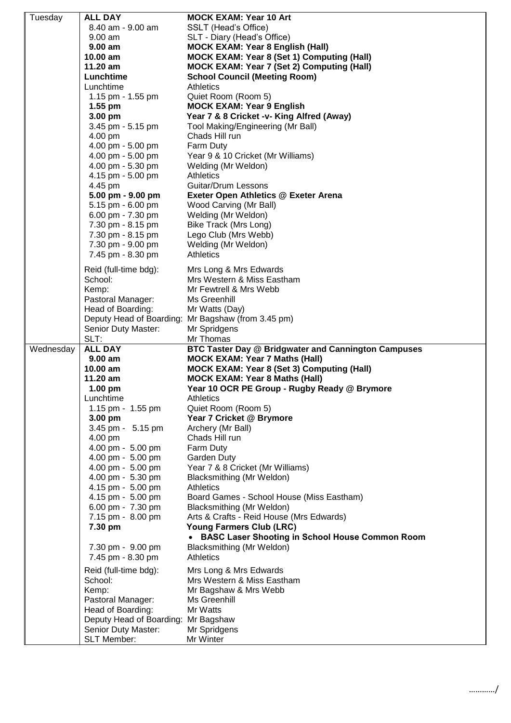| Tuesday   | <b>ALL DAY</b>                         | <b>MOCK EXAM: Year 10 Art</b>                          |
|-----------|----------------------------------------|--------------------------------------------------------|
|           | 8.40 am - 9.00 am                      | SSLT (Head's Office)                                   |
|           | $9.00$ am                              | SLT - Diary (Head's Office)                            |
|           | $9.00$ am                              | <b>MOCK EXAM: Year 8 English (Hall)</b>                |
|           | 10.00 am                               | <b>MOCK EXAM: Year 8 (Set 1) Computing (Hall)</b>      |
|           | 11.20 am                               | <b>MOCK EXAM: Year 7 (Set 2) Computing (Hall)</b>      |
|           | Lunchtime                              | <b>School Council (Meeting Room)</b>                   |
|           | Lunchtime                              | <b>Athletics</b>                                       |
|           | 1.15 pm - 1.55 pm                      | Quiet Room (Room 5)                                    |
|           | 1.55 pm                                | <b>MOCK EXAM: Year 9 English</b>                       |
|           | 3.00 pm                                | Year 7 & 8 Cricket -v- King Alfred (Away)              |
|           | 3.45 pm - 5.15 pm                      | Tool Making/Engineering (Mr Ball)                      |
|           | 4.00 pm                                | Chads Hill run                                         |
|           | 4.00 pm - 5.00 pm                      | Farm Duty                                              |
|           | 4.00 pm - 5.00 pm                      | Year 9 & 10 Cricket (Mr Williams)                      |
|           | 4.00 pm - 5.30 pm                      | Welding (Mr Weldon)                                    |
|           | 4.15 pm - 5.00 pm                      | Athletics                                              |
|           | 4.45 pm                                | Guitar/Drum Lessons                                    |
|           | 5.00 pm - 9.00 pm                      | Exeter Open Athletics @ Exeter Arena                   |
|           | 5.15 pm - 6.00 pm                      | Wood Carving (Mr Ball)                                 |
|           | 6.00 pm - 7.30 pm                      | Welding (Mr Weldon)                                    |
|           | 7.30 pm - 8.15 pm                      | Bike Track (Mrs Long)                                  |
|           | 7.30 pm - 8.15 pm                      | Lego Club (Mrs Webb)                                   |
|           | 7.30 pm - 9.00 pm                      | Welding (Mr Weldon)                                    |
|           | 7.45 pm - 8.30 pm                      | <b>Athletics</b>                                       |
|           | Reid (full-time bdg):                  | Mrs Long & Mrs Edwards                                 |
|           | School:                                | Mrs Western & Miss Eastham                             |
|           | Kemp:                                  | Mr Fewtrell & Mrs Webb                                 |
|           | Pastoral Manager:                      | Ms Greenhill                                           |
|           | Head of Boarding:                      | Mr Watts (Day)                                         |
|           |                                        | Deputy Head of Boarding: Mr Bagshaw (from 3.45 pm)     |
|           | Senior Duty Master:                    | Mr Spridgens                                           |
|           | SLT:                                   | Mr Thomas                                              |
| Wednesday | <b>ALL DAY</b>                         | BTC Taster Day @ Bridgwater and Cannington Campuses    |
|           | 9.00 am                                | <b>MOCK EXAM: Year 7 Maths (Hall)</b>                  |
|           | 10.00 am                               | <b>MOCK EXAM: Year 8 (Set 3) Computing (Hall)</b>      |
|           | 11.20 am                               | <b>MOCK EXAM: Year 8 Maths (Hall)</b>                  |
|           | $1.00 \text{ pm}$                      | Year 10 OCR PE Group - Rugby Ready @ Brymore           |
|           | Lunchtime                              | <b>Athletics</b>                                       |
|           | 1.15 pm - 1.55 pm                      | Quiet Room (Room 5)                                    |
|           | 3.00 pm                                | Year 7 Cricket @ Brymore                               |
|           | 3.45 pm - 5.15 pm                      | Archery (Mr Ball)                                      |
|           | 4.00 pm                                | Chads Hill run                                         |
|           | 4.00 pm - 5.00 pm                      | Farm Duty                                              |
|           | 4.00 pm - 5.00 pm                      | <b>Garden Duty</b>                                     |
|           | 4.00 pm - 5.00 pm                      | Year 7 & 8 Cricket (Mr Williams)                       |
|           | 4.00 pm - 5.30 pm                      | Blacksmithing (Mr Weldon)                              |
|           | 4.15 pm - 5.00 pm                      | <b>Athletics</b>                                       |
|           | 4.15 pm - 5.00 pm<br>6.00 pm - 7.30 pm | Board Games - School House (Miss Eastham)              |
|           |                                        | Blacksmithing (Mr Weldon)                              |
|           | 7.15 pm - 8.00 pm<br>7.30 pm           | Arts & Crafts - Reid House (Mrs Edwards)               |
|           |                                        | Young Farmers Club (LRC)                               |
|           |                                        | <b>BASC Laser Shooting in School House Common Room</b> |
|           | 7.30 pm - 9.00 pm                      | Blacksmithing (Mr Weldon)                              |
|           | 7.45 pm - 8.30 pm                      | Athletics                                              |
|           | Reid (full-time bdg):                  | Mrs Long & Mrs Edwards                                 |
|           | School:                                | Mrs Western & Miss Eastham                             |
|           | Kemp:                                  | Mr Bagshaw & Mrs Webb                                  |
|           | Pastoral Manager:                      | Ms Greenhill                                           |
|           | Head of Boarding:                      | Mr Watts                                               |
|           | Deputy Head of Boarding: Mr Bagshaw    |                                                        |
|           | Senior Duty Master:                    | Mr Spridgens                                           |
|           | SLT Member:                            | Mr Winter                                              |

…………/